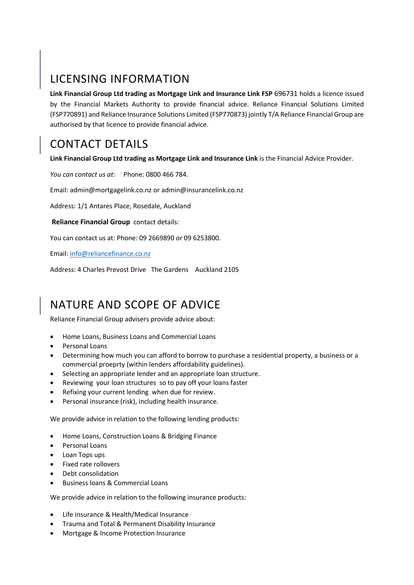# LICENSING INFORMATION

**Link Financial Group Ltd trading as Mortgage Link and Insurance Link FSP** 696731 holds a licence issued by the Financial Markets Authority to provide financial advice. Reliance Financial Solutions Limited (FSP770891) and Reliance Insurance Solutions Limited (FSP770873) jointly T/A Reliance Financial Group are authorised by that licence to provide financial advice.

## CONTACT DETAILS

**Link Financial Group Ltd trading as Mortgage Link and Insurance Link** is the Financial Advice Provider.

*You can contact us at:* Phone: 0800 466 784.

Email[: admin@mortgagelink.co.nz](mailto:admin@mortgagelink.co.nz) or [admin@insurancelink.co.nz](mailto:admin@insurancelink.co.nz)

Address: 1/1 Antares Place, Rosedale, Auckland

**Reliance Financial Group** contact details:

You can contact us at: Phone: 09 2669890 or 09 6253800.

Email[: info@reliancefinance.co.nz](mailto:info@reliancefinance.co.nz) 

Address: 4 Charles Prevost Drive The Gardens Auckland 2105

## NATURE AND SCOPE OF ADVICE

Reliance Financial Group advisers provide advice about:

- Home Loans, Business Loans and Commercial Loans
- Personal Loans
- Determining how much you can afford to borrow to purchase a residential property, a business or a commercial proeprty (within lenders affordability guidelines).
- Selecting an appropriate lender and an appropriate loan structure.
- Reviewing your loan structures so to pay off your loans faster
- Refixing your current lending when due for review.
- Personal insurance (risk), including health insurance.

We provide advice in relation to the following lending products:

- Home Loans, Construction Loans & Bridging Finance
- Personal Loans
- Loan Tops ups
- Fixed rate rollovers
- Debt consolidation
- Business loans & Commercial Loans

We provide advice in relation to the following insurance products:

- Life insurance & Health/Medical Insurance
- Trauma and Total & Permanent Disability Insurance
- Mortgage & Income Protection Insurance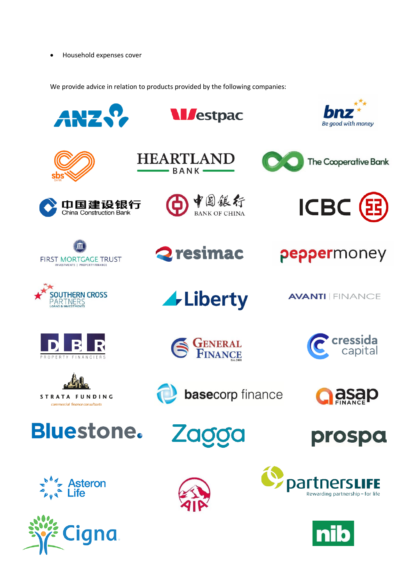• Household expenses cover

We provide advice in relation to products provided by the following companies:

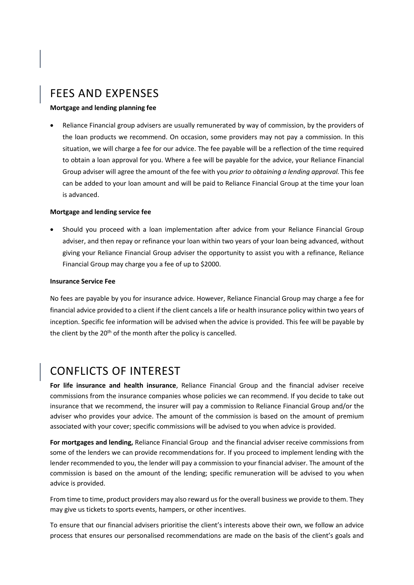## FEES AND EXPENSES

#### **Mortgage and lending planning fee**

• Reliance Financial group advisers are usually remunerated by way of commission, by the providers of the loan products we recommend. On occasion, some providers may not pay a commission. In this situation, we will charge a fee for our advice. The fee payable will be a reflection of the time required to obtain a loan approval for you. Where a fee will be payable for the advice, your Reliance Financial Group adviser will agree the amount of the fee with you *prior to obtaining a lending approval.* This fee can be added to your loan amount and will be paid to Reliance Financial Group at the time your loan is advanced.

#### **Mortgage and lending service fee**

• Should you proceed with a loan implementation after advice from your Reliance Financial Group adviser, and then repay or refinance your loan within two years of your loan being advanced, without giving your Reliance Financial Group adviser the opportunity to assist you with a refinance, Reliance Financial Group may charge you a fee of up to \$2000.

#### **Insurance Service Fee**

No fees are payable by you for insurance advice. However, Reliance Financial Group may charge a fee for financial advice provided to a client if the client cancels a life or health insurance policy within two years of inception. Specific fee information will be advised when the advice is provided. This fee will be payable by the client by the 20<sup>th</sup> of the month after the policy is cancelled.

## CONFLICTS OF INTEREST

**For life insurance and health insurance**, Reliance Financial Group and the financial adviser receive commissions from the insurance companies whose policies we can recommend. If you decide to take out insurance that we recommend, the insurer will pay a commission to Reliance Financial Group and/or the adviser who provides your advice. The amount of the commission is based on the amount of premium associated with your cover; specific commissions will be advised to you when advice is provided.

**For mortgages and lending,** Reliance Financial Group and the financial adviser receive commissions from some of the lenders we can provide recommendations for. If you proceed to implement lending with the lender recommended to you, the lender will pay a commission to your financial adviser. The amount of the commission is based on the amount of the lending; specific remuneration will be advised to you when advice is provided.

From time to time, product providers may also reward us for the overall business we provide to them. They may give us tickets to sports events, hampers, or other incentives.

To ensure that our financial advisers prioritise the client's interests above their own, we follow an advice process that ensures our personalised recommendations are made on the basis of the client's goals and